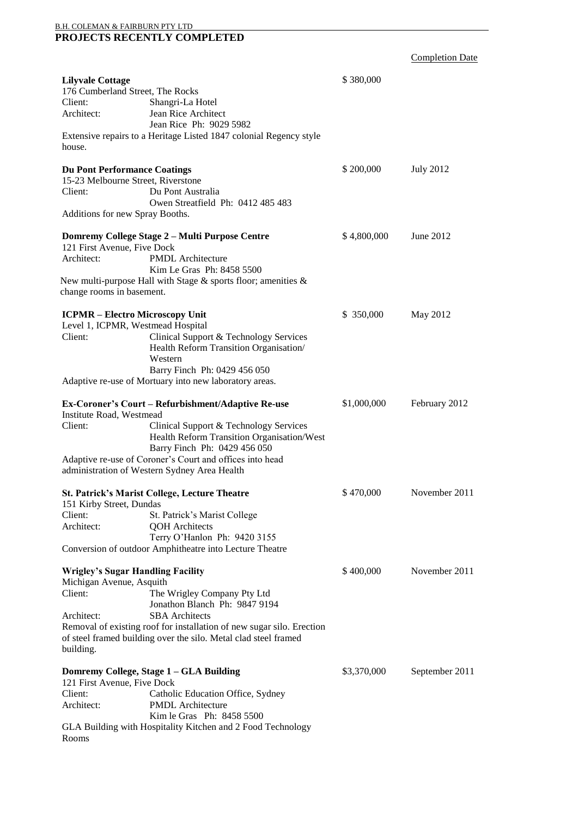## B.H. COLEMAN & FAIRBURN PTY LTD **PROJECTS RECENTLY COMPLETED**

Completion Date

| <b>Lilyvale Cottage</b><br>176 Cumberland Street, The Rocks<br>Client:<br>Architect:                                    | Shangri-La Hotel<br>Jean Rice Architect<br>Jean Rice Ph: 9029 5982                                                                                                                                                                | \$380,000   |                  |
|-------------------------------------------------------------------------------------------------------------------------|-----------------------------------------------------------------------------------------------------------------------------------------------------------------------------------------------------------------------------------|-------------|------------------|
| house.                                                                                                                  | Extensive repairs to a Heritage Listed 1847 colonial Regency style                                                                                                                                                                |             |                  |
| <b>Du Pont Performance Coatings</b><br>15-23 Melbourne Street, Riverstone<br>Client:<br>Additions for new Spray Booths. | Du Pont Australia<br>Owen Streatfield Ph: 0412 485 483                                                                                                                                                                            | \$200,000   | <b>July 2012</b> |
|                                                                                                                         | Domremy College Stage 2 – Multi Purpose Centre                                                                                                                                                                                    | \$4,800,000 | June 2012        |
| 121 First Avenue, Five Dock<br>Architect:                                                                               | <b>PMDL</b> Architecture<br>Kim Le Gras Ph: 8458 5500                                                                                                                                                                             |             |                  |
| change rooms in basement.                                                                                               | New multi-purpose Hall with Stage $\&$ sports floor; amenities $\&$                                                                                                                                                               |             |                  |
| <b>ICPMR - Electro Microscopy Unit</b><br>Level 1, ICPMR, Westmead Hospital<br>Client:                                  | Clinical Support & Technology Services<br>Health Reform Transition Organisation/<br>Western<br>Barry Finch Ph: 0429 456 050<br>Adaptive re-use of Mortuary into new laboratory areas.                                             | \$350,000   | May 2012         |
|                                                                                                                         | Ex-Coroner's Court – Refurbishment/Adaptive Re-use                                                                                                                                                                                | \$1,000,000 | February 2012    |
| Institute Road, Westmead<br>Client:                                                                                     | Clinical Support & Technology Services<br>Health Reform Transition Organisation/West<br>Barry Finch Ph: 0429 456 050<br>Adaptive re-use of Coroner's Court and offices into head<br>administration of Western Sydney Area Health  |             |                  |
| 151 Kirby Street, Dundas                                                                                                | <b>St. Patrick's Marist College, Lecture Theatre</b>                                                                                                                                                                              | \$470,000   | November 2011    |
| Client:<br>Architect:                                                                                                   | St. Patrick's Marist College<br><b>QOH</b> Architects<br>Terry O'Hanlon Ph: 9420 3155<br>Conversion of outdoor Amphitheatre into Lecture Theatre                                                                                  |             |                  |
| <b>Wrigley's Sugar Handling Facility</b><br>Michigan Avenue, Asquith<br>Client:<br>Architect:<br>building.              | The Wrigley Company Pty Ltd<br>Jonathon Blanch Ph: 9847 9194<br><b>SBA</b> Architects<br>Removal of existing roof for installation of new sugar silo. Erection<br>of steel framed building over the silo. Metal clad steel framed | \$400,000   | November 2011    |
|                                                                                                                         | Domremy College, Stage 1 - GLA Building                                                                                                                                                                                           | \$3,370,000 | September 2011   |
| 121 First Avenue, Five Dock<br>Client:<br>Architect:                                                                    | Catholic Education Office, Sydney<br><b>PMDL</b> Architecture<br>Kim le Gras Ph: 8458 5500                                                                                                                                        |             |                  |
| Rooms                                                                                                                   | GLA Building with Hospitality Kitchen and 2 Food Technology                                                                                                                                                                       |             |                  |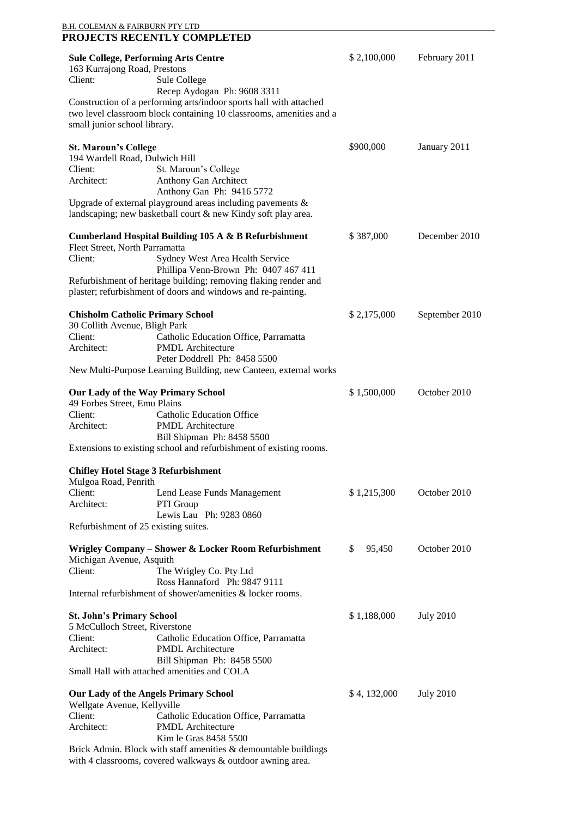|                                         | <b>Sule College, Performing Arts Centre</b>                                              | \$2,100,000  | February 2011    |
|-----------------------------------------|------------------------------------------------------------------------------------------|--------------|------------------|
| 163 Kurrajong Road, Prestons            |                                                                                          |              |                  |
| Client:                                 | Sule College<br>Recep Aydogan Ph: 9608 3311                                              |              |                  |
|                                         | Construction of a performing arts/indoor sports hall with attached                       |              |                  |
|                                         | two level classroom block containing 10 classrooms, amenities and a                      |              |                  |
| small junior school library.            |                                                                                          |              |                  |
| <b>St. Maroun's College</b>             |                                                                                          | \$900,000    | January 2011     |
| 194 Wardell Road, Dulwich Hill          |                                                                                          |              |                  |
| Client:                                 | St. Maroun's College                                                                     |              |                  |
| Architect:                              | Anthony Gan Architect                                                                    |              |                  |
|                                         | Anthony Gan Ph: 9416 5772<br>Upgrade of external playground areas including pavements &  |              |                  |
|                                         | landscaping; new basketball court & new Kindy soft play area.                            |              |                  |
|                                         | <b>Cumberland Hospital Building 105 A &amp; B Refurbishment</b>                          | \$387,000    | December 2010    |
| Fleet Street, North Parramatta          |                                                                                          |              |                  |
| Client:                                 | Sydney West Area Health Service                                                          |              |                  |
|                                         | Phillipa Venn-Brown Ph: 0407 467 411                                                     |              |                  |
|                                         | Refurbishment of heritage building; removing flaking render and                          |              |                  |
|                                         | plaster; refurbishment of doors and windows and re-painting.                             |              |                  |
| <b>Chisholm Catholic Primary School</b> |                                                                                          | \$2,175,000  | September 2010   |
| 30 Collith Avenue, Bligh Park           |                                                                                          |              |                  |
| Client:<br>Architect:                   | Catholic Education Office, Parramatta<br><b>PMDL</b> Architecture                        |              |                  |
|                                         | Peter Doddrell Ph: 8458 5500                                                             |              |                  |
|                                         | New Multi-Purpose Learning Building, new Canteen, external works                         |              |                  |
|                                         | <b>Our Lady of the Way Primary School</b>                                                | \$1,500,000  | October 2010     |
| 49 Forbes Street, Emu Plains            |                                                                                          |              |                  |
| Client:                                 | <b>Catholic Education Office</b>                                                         |              |                  |
| Architect:                              | <b>PMDL</b> Architecture<br>Bill Shipman Ph: 8458 5500                                   |              |                  |
|                                         | Extensions to existing school and refurbishment of existing rooms.                       |              |                  |
|                                         |                                                                                          |              |                  |
| Mulgoa Road, Penrith                    | <b>Chifley Hotel Stage 3 Refurbishment</b>                                               |              |                  |
| Client:                                 | Lend Lease Funds Management                                                              | \$1,215,300  | October 2010     |
| Architect:                              | PTI Group                                                                                |              |                  |
|                                         | Lewis Lau Ph: 9283 0860                                                                  |              |                  |
|                                         | Refurbishment of 25 existing suites.                                                     |              |                  |
|                                         | Wrigley Company – Shower & Locker Room Refurbishment                                     | \$<br>95,450 | October 2010     |
| Michigan Avenue, Asquith                |                                                                                          |              |                  |
| Client:                                 | The Wrigley Co. Pty Ltd<br>Ross Hannaford Ph: 9847 9111                                  |              |                  |
|                                         | Internal refurbishment of shower/amenities & locker rooms.                               |              |                  |
| <b>St. John's Primary School</b>        |                                                                                          | \$1,188,000  | <b>July 2010</b> |
| 5 McCulloch Street, Riverstone          |                                                                                          |              |                  |
| Client:                                 | Catholic Education Office, Parramatta                                                    |              |                  |
| Architect:                              | <b>PMDL</b> Architecture                                                                 |              |                  |
|                                         | Bill Shipman Ph: 8458 5500<br>Small Hall with attached amenities and COLA                |              |                  |
|                                         |                                                                                          |              |                  |
|                                         | <b>Our Lady of the Angels Primary School</b>                                             | \$4,132,000  | <b>July 2010</b> |
| Wellgate Avenue, Kellyville             |                                                                                          |              |                  |
| Client:                                 | Catholic Education Office, Parramatta                                                    |              |                  |
| Architect:                              | <b>PMDL</b> Architecture                                                                 |              |                  |
|                                         | Kim le Gras 8458 5500<br>Brick Admin. Block with staff amenities & demountable buildings |              |                  |
|                                         | with 4 classrooms, covered walkways & outdoor awning area.                               |              |                  |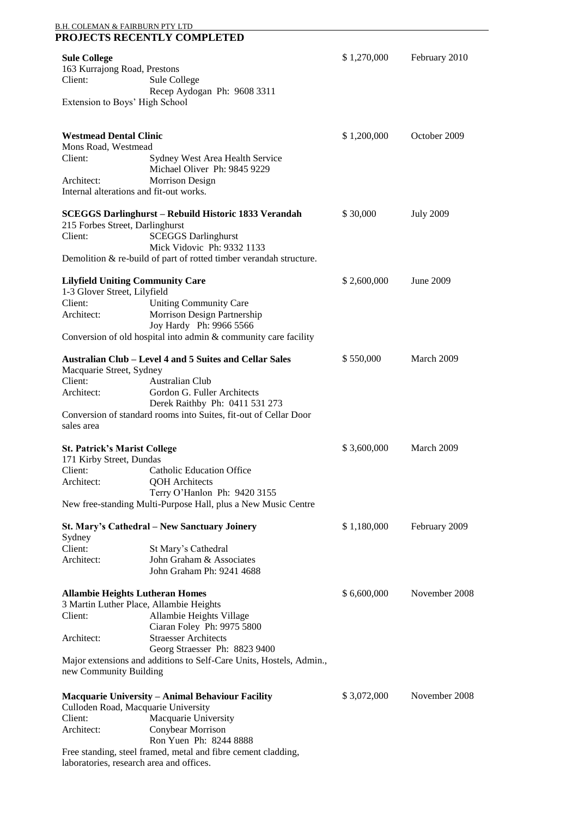| <u>B.H. COLEMAN &amp; FAIRBURN PTY LTD</u>            | <b>PROJECTS RECENTLY COMPLETED</b>                                                                 |             |                  |
|-------------------------------------------------------|----------------------------------------------------------------------------------------------------|-------------|------------------|
| <b>Sule College</b>                                   |                                                                                                    | \$1,270,000 | February 2010    |
| 163 Kurrajong Road, Prestons                          |                                                                                                    |             |                  |
| Client:                                               | Sule College                                                                                       |             |                  |
|                                                       | Recep Aydogan Ph: 9608 3311                                                                        |             |                  |
| Extension to Boys' High School                        |                                                                                                    |             |                  |
| <b>Westmead Dental Clinic</b>                         |                                                                                                    | \$1,200,000 | October 2009     |
| Mons Road, Westmead                                   |                                                                                                    |             |                  |
| Client:                                               | Sydney West Area Health Service                                                                    |             |                  |
|                                                       | Michael Oliver Ph: 9845 9229                                                                       |             |                  |
| Architect:<br>Internal alterations and fit-out works. | <b>Morrison Design</b>                                                                             |             |                  |
|                                                       |                                                                                                    |             |                  |
|                                                       | <b>SCEGGS Darlinghurst - Rebuild Historic 1833 Verandah</b>                                        | \$30,000    | <b>July 2009</b> |
| 215 Forbes Street, Darlinghurst                       |                                                                                                    |             |                  |
| Client:                                               | <b>SCEGGS Darlinghurst</b>                                                                         |             |                  |
|                                                       | Mick Vidovic Ph: 9332 1133                                                                         |             |                  |
|                                                       | Demolition & re-build of part of rotted timber verandah structure.                                 |             |                  |
| <b>Lilyfield Uniting Community Care</b>               |                                                                                                    | \$2,600,000 | June 2009        |
| 1-3 Glover Street, Lilyfield                          |                                                                                                    |             |                  |
| Client:                                               | <b>Uniting Community Care</b>                                                                      |             |                  |
| Architect:                                            | Morrison Design Partnership                                                                        |             |                  |
|                                                       | Joy Hardy Ph: 9966 5566                                                                            |             |                  |
|                                                       | Conversion of old hospital into admin & community care facility                                    |             |                  |
|                                                       | Australian Club - Level 4 and 5 Suites and Cellar Sales                                            | \$550,000   | March 2009       |
| Macquarie Street, Sydney                              |                                                                                                    |             |                  |
| Client:                                               | <b>Australian Club</b>                                                                             |             |                  |
| Architect:                                            | Gordon G. Fuller Architects                                                                        |             |                  |
|                                                       | Derek Raithby Ph: 0411 531 273<br>Conversion of standard rooms into Suites, fit-out of Cellar Door |             |                  |
| sales area                                            |                                                                                                    |             |                  |
|                                                       |                                                                                                    |             |                  |
| <b>St. Patrick's Marist College</b>                   |                                                                                                    | \$3,600,000 | March 2009       |
| 171 Kirby Street, Dundas                              |                                                                                                    |             |                  |
| Client:                                               | <b>Catholic Education Office</b>                                                                   |             |                  |
| Architect:                                            | <b>QOH</b> Architects                                                                              |             |                  |
|                                                       | Terry O'Hanlon Ph: 9420 3155                                                                       |             |                  |
|                                                       | New free-standing Multi-Purpose Hall, plus a New Music Centre                                      |             |                  |
|                                                       | St. Mary's Cathedral - New Sanctuary Joinery                                                       | \$1,180,000 | February 2009    |
| Sydney                                                |                                                                                                    |             |                  |
| Client:                                               | St Mary's Cathedral                                                                                |             |                  |
| Architect:                                            | John Graham & Associates                                                                           |             |                  |
|                                                       | John Graham Ph: 9241 4688                                                                          |             |                  |
| <b>Allambie Heights Lutheran Homes</b>                |                                                                                                    | \$6,600,000 | November 2008    |
|                                                       | 3 Martin Luther Place, Allambie Heights                                                            |             |                  |
| Client:                                               | Allambie Heights Village                                                                           |             |                  |
|                                                       | Ciaran Foley Ph: 9975 5800                                                                         |             |                  |
| Architect:                                            | <b>Straesser Architects</b>                                                                        |             |                  |
|                                                       | Georg Straesser Ph: 8823 9400                                                                      |             |                  |
| new Community Building                                | Major extensions and additions to Self-Care Units, Hostels, Admin.,                                |             |                  |
|                                                       |                                                                                                    |             |                  |
|                                                       | <b>Macquarie University - Animal Behaviour Facility</b>                                            | \$3,072,000 | November 2008    |
|                                                       | Culloden Road, Macquarie University                                                                |             |                  |
| Client:                                               | Macquarie University                                                                               |             |                  |
| Architect:                                            | Conybear Morrison                                                                                  |             |                  |
|                                                       | Ron Yuen Ph: 8244 8888                                                                             |             |                  |
|                                                       | Free standing, steel framed, metal and fibre cement cladding,                                      |             |                  |

laboratories, research area and offices.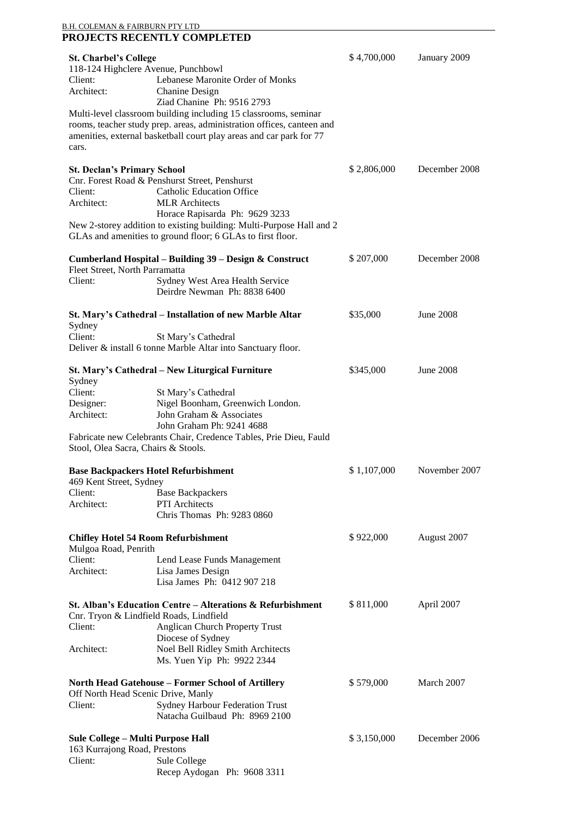| B.H. COLEMAN & FAIRBURN PTY LTD                                    |                                                                                    |             |                  |
|--------------------------------------------------------------------|------------------------------------------------------------------------------------|-------------|------------------|
|                                                                    | PROJECTS RECENTLY COMPLETED                                                        |             |                  |
| <b>St. Charbel's College</b>                                       |                                                                                    | \$4,700,000 | January 2009     |
| 118-124 Highclere Avenue, Punchbowl                                |                                                                                    |             |                  |
| Client:                                                            | Lebanese Maronite Order of Monks                                                   |             |                  |
| Architect:                                                         | Chanine Design                                                                     |             |                  |
|                                                                    | Ziad Chanine Ph: 9516 2793                                                         |             |                  |
|                                                                    | Multi-level classroom building including 15 classrooms, seminar                    |             |                  |
|                                                                    | rooms, teacher study prep. areas, administration offices, canteen and              |             |                  |
|                                                                    | amenities, external basketball court play areas and car park for 77                |             |                  |
| cars.                                                              |                                                                                    |             |                  |
|                                                                    |                                                                                    |             |                  |
| <b>St. Declan's Primary School</b>                                 |                                                                                    | \$2,806,000 | December 2008    |
| Client:                                                            | Cnr. Forest Road & Penshurst Street, Penshurst<br><b>Catholic Education Office</b> |             |                  |
| Architect:                                                         | <b>MLR</b> Architects                                                              |             |                  |
|                                                                    | Horace Rapisarda Ph: 9629 3233                                                     |             |                  |
|                                                                    | New 2-storey addition to existing building: Multi-Purpose Hall and 2               |             |                  |
|                                                                    | GLAs and amenities to ground floor; 6 GLAs to first floor.                         |             |                  |
|                                                                    |                                                                                    |             |                  |
|                                                                    | Cumberland Hospital - Building 39 - Design & Construct                             | \$207,000   | December 2008    |
| Fleet Street, North Parramatta                                     |                                                                                    |             |                  |
| Client:                                                            | Sydney West Area Health Service                                                    |             |                  |
|                                                                    | Deirdre Newman Ph: 8838 6400                                                       |             |                  |
|                                                                    | St. Mary's Cathedral - Installation of new Marble Altar                            | \$35,000    | <b>June 2008</b> |
| Sydney                                                             |                                                                                    |             |                  |
| Client:                                                            | St Mary's Cathedral                                                                |             |                  |
|                                                                    | Deliver & install 6 tonne Marble Altar into Sanctuary floor.                       |             |                  |
|                                                                    |                                                                                    |             |                  |
|                                                                    | St. Mary's Cathedral – New Liturgical Furniture                                    | \$345,000   | June 2008        |
| Sydney                                                             |                                                                                    |             |                  |
| Client:                                                            | St Mary's Cathedral                                                                |             |                  |
| Designer:                                                          | Nigel Boonham, Greenwich London.                                                   |             |                  |
| Architect:                                                         | John Graham & Associates                                                           |             |                  |
|                                                                    | John Graham Ph: 9241 4688                                                          |             |                  |
| Stool, Olea Sacra, Chairs & Stools.                                | Fabricate new Celebrants Chair, Credence Tables, Prie Dieu, Fauld                  |             |                  |
|                                                                    |                                                                                    |             |                  |
|                                                                    | <b>Base Backpackers Hotel Refurbishment</b>                                        | \$1,107,000 | November 2007    |
| 469 Kent Street, Sydney                                            |                                                                                    |             |                  |
| Client:                                                            | <b>Base Backpackers</b>                                                            |             |                  |
| Architect:                                                         | PTI Architects                                                                     |             |                  |
|                                                                    | Chris Thomas Ph: 9283 0860                                                         |             |                  |
|                                                                    |                                                                                    |             |                  |
| <b>Chifley Hotel 54 Room Refurbishment</b><br>Mulgoa Road, Penrith |                                                                                    | \$922,000   | August 2007      |
| Client:                                                            | Lend Lease Funds Management                                                        |             |                  |
| Architect:                                                         | Lisa James Design                                                                  |             |                  |
|                                                                    | Lisa James Ph: 0412 907 218                                                        |             |                  |
|                                                                    |                                                                                    |             |                  |
|                                                                    | St. Alban's Education Centre - Alterations & Refurbishment                         | \$811,000   | April 2007       |
| Cnr. Tryon & Lindfield Roads, Lindfield                            |                                                                                    |             |                  |
| Client:                                                            | <b>Anglican Church Property Trust</b>                                              |             |                  |
|                                                                    | Diocese of Sydney                                                                  |             |                  |
| Architect:                                                         | Noel Bell Ridley Smith Architects                                                  |             |                  |
|                                                                    | Ms. Yuen Yip Ph: 9922 2344                                                         |             |                  |
| <b>North Head Gatehouse – Former School of Artillery</b>           |                                                                                    | \$579,000   | March 2007       |
| Off North Head Scenic Drive, Manly                                 |                                                                                    |             |                  |
| Client:                                                            | Sydney Harbour Federation Trust                                                    |             |                  |
|                                                                    | Natacha Guilbaud Ph: 8969 2100                                                     |             |                  |
|                                                                    |                                                                                    |             |                  |
| Sule College – Multi Purpose Hall                                  |                                                                                    | \$3,150,000 | December 2006    |
| 163 Kurrajong Road, Prestons                                       |                                                                                    |             |                  |
| Client:                                                            | Sule College                                                                       |             |                  |
|                                                                    | Recep Aydogan Ph: 9608 3311                                                        |             |                  |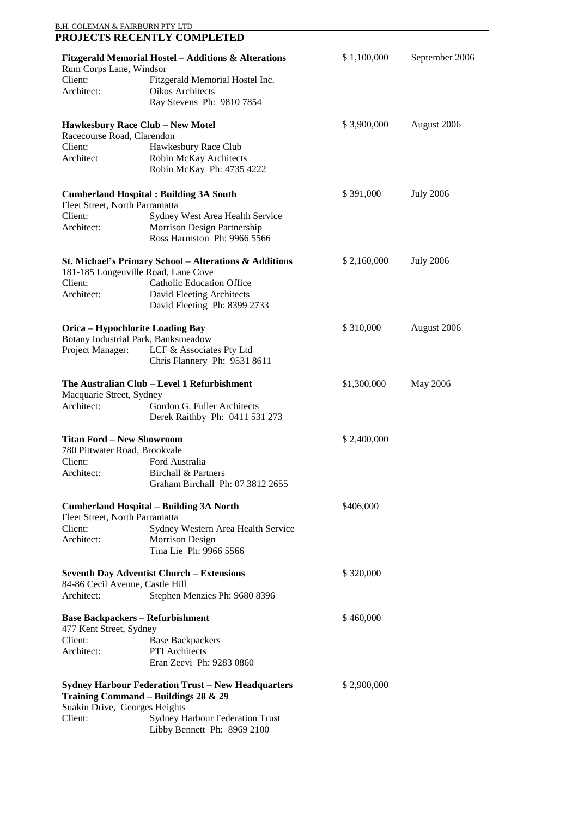| <u>B.H. COLEMAN &amp; FAIRBURN PTY LTD</u>                         | PROJECTS RECENTLY COMPLETED                                                                       |             |                  |
|--------------------------------------------------------------------|---------------------------------------------------------------------------------------------------|-------------|------------------|
|                                                                    | <b>Fitzgerald Memorial Hostel - Additions &amp; Alterations</b>                                   | \$1,100,000 | September 2006   |
| Rum Corps Lane, Windsor                                            |                                                                                                   |             |                  |
| Client:                                                            | Fitzgerald Memorial Hostel Inc.                                                                   |             |                  |
| Architect:                                                         | <b>Oikos Architects</b><br>Ray Stevens Ph: 9810 7854                                              |             |                  |
|                                                                    | <b>Hawkesbury Race Club - New Motel</b>                                                           | \$3,900,000 | August 2006      |
| Racecourse Road, Clarendon                                         |                                                                                                   |             |                  |
| Client:                                                            | Hawkesbury Race Club                                                                              |             |                  |
| Architect                                                          | Robin McKay Architects<br>Robin McKay Ph: 4735 4222                                               |             |                  |
|                                                                    | <b>Cumberland Hospital: Building 3A South</b>                                                     | \$391,000   | <b>July 2006</b> |
| Fleet Street, North Parramatta                                     |                                                                                                   |             |                  |
| Client:                                                            | Sydney West Area Health Service                                                                   |             |                  |
| Architect:                                                         | Morrison Design Partnership<br>Ross Harmston Ph: 9966 5566                                        |             |                  |
|                                                                    | St. Michael's Primary School - Alterations & Additions                                            | \$2,160,000 | <b>July 2006</b> |
| Client:                                                            | 181-185 Longeuville Road, Lane Cove<br><b>Catholic Education Office</b>                           |             |                  |
| Architect:                                                         | David Fleeting Architects                                                                         |             |                  |
|                                                                    | David Fleeting Ph: 8399 2733                                                                      |             |                  |
| <b>Orica - Hypochlorite Loading Bay</b>                            |                                                                                                   | \$310,000   | August 2006      |
| Project Manager:                                                   | Botany Industrial Park, Banksmeadow<br>LCF & Associates Pty Ltd                                   |             |                  |
|                                                                    | Chris Flannery Ph: 9531 8611                                                                      |             |                  |
| Macquarie Street, Sydney                                           | The Australian Club - Level 1 Refurbishment                                                       | \$1,300,000 | May 2006         |
| Architect:                                                         | Gordon G. Fuller Architects                                                                       |             |                  |
|                                                                    | Derek Raithby Ph: 0411 531 273                                                                    |             |                  |
| <b>Titan Ford - New Showroom</b>                                   |                                                                                                   | \$2,400,000 |                  |
| 780 Pittwater Road, Brookvale                                      |                                                                                                   |             |                  |
| Client:<br>Architect:                                              | Ford Australia<br><b>Birchall &amp; Partners</b>                                                  |             |                  |
|                                                                    | Graham Birchall Ph: 07 3812 2655                                                                  |             |                  |
|                                                                    | <b>Cumberland Hospital – Building 3A North</b>                                                    | \$406,000   |                  |
| Fleet Street, North Parramatta                                     |                                                                                                   |             |                  |
| Client:<br>Architect:                                              | Sydney Western Area Health Service                                                                |             |                  |
|                                                                    | <b>Morrison Design</b><br>Tina Lie Ph: 9966 5566                                                  |             |                  |
| <b>Seventh Day Adventist Church - Extensions</b>                   |                                                                                                   | \$320,000   |                  |
| 84-86 Cecil Avenue, Castle Hill                                    |                                                                                                   |             |                  |
| Architect:                                                         | Stephen Menzies Ph: 9680 8396                                                                     |             |                  |
| <b>Base Backpackers - Refurbishment</b><br>477 Kent Street, Sydney |                                                                                                   | \$460,000   |                  |
| Client:                                                            | <b>Base Backpackers</b>                                                                           |             |                  |
| Architect:                                                         | PTI Architects<br>Eran Zeevi Ph: 9283 0860                                                        |             |                  |
| Suakin Drive, Georges Heights                                      | <b>Sydney Harbour Federation Trust - New Headquarters</b><br>Training Command - Buildings 28 & 29 | \$2,900,000 |                  |
| Client:                                                            | <b>Sydney Harbour Federation Trust</b>                                                            |             |                  |
|                                                                    | Libby Bennett Ph: 8969 2100                                                                       |             |                  |